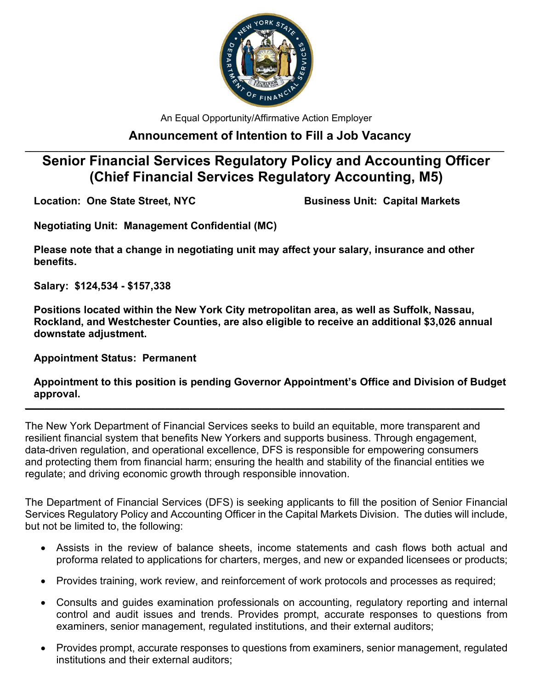

An Equal Opportunity/Affirmative Action Employer

## **Announcement of Intention to Fill a Job Vacancy**

## **\_\_\_\_\_\_\_\_\_\_\_\_\_\_\_\_\_\_\_\_\_\_\_\_\_\_\_\_\_\_\_\_\_\_\_\_\_\_\_\_\_\_\_\_\_\_\_\_\_\_\_\_\_\_\_\_\_\_\_\_\_\_\_\_\_\_\_\_\_\_\_\_\_\_\_\_\_\_\_\_\_\_\_\_\_\_\_\_\_\_\_\_\_\_\_\_\_\_\_ Senior Financial Services Regulatory Policy and Accounting Officer (Chief Financial Services Regulatory Accounting, M5)**

**Location: One State Street, NYC Business Unit: Capital Markets**

**Negotiating Unit: Management Confidential (MC)**

**Please note that a change in negotiating unit may affect your salary, insurance and other benefits.**

**Salary: \$124,534 - \$157,338**

**Positions located within the New York City metropolitan area, as well as Suffolk, Nassau, Rockland, and Westchester Counties, are also eligible to receive an additional \$3,026 annual downstate adjustment.**

**Appointment Status: Permanent**

**Appointment to this position is pending Governor Appointment's Office and Division of Budget approval.**

**\_\_\_\_\_\_\_\_\_\_\_\_\_\_\_\_\_\_\_\_\_\_\_\_\_\_\_\_\_\_\_\_\_\_\_\_\_\_\_\_\_\_\_\_\_\_\_\_\_\_\_\_\_\_\_\_\_\_\_\_\_\_\_\_\_\_\_\_\_\_\_\_\_\_\_\_\_\_\_\_\_\_\_\_\_\_\_\_\_\_\_\_\_\_\_\_\_\_\_**

The New York Department of Financial Services seeks to build an equitable, more transparent and resilient financial system that benefits New Yorkers and supports business. Through engagement, data-driven regulation, and operational excellence, DFS is responsible for empowering consumers and protecting them from financial harm; ensuring the health and stability of the financial entities we regulate; and driving economic growth through responsible innovation.

The Department of Financial Services (DFS) is seeking applicants to fill the position of Senior Financial Services Regulatory Policy and Accounting Officer in the Capital Markets Division. The duties will include, but not be limited to, the following:

- Assists in the review of balance sheets, income statements and cash flows both actual and proforma related to applications for charters, merges, and new or expanded licensees or products;
- Provides training, work review, and reinforcement of work protocols and processes as required;
- Consults and guides examination professionals on accounting, regulatory reporting and internal control and audit issues and trends. Provides prompt, accurate responses to questions from examiners, senior management, regulated institutions, and their external auditors;
- Provides prompt, accurate responses to questions from examiners, senior management, regulated institutions and their external auditors;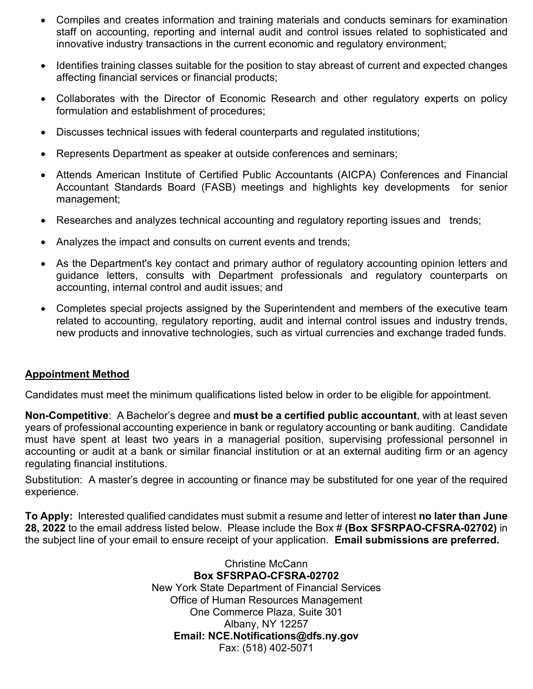- Compiles and creates information and training materials and conducts seminars for examination staff on accounting, reporting and internal audit and control issues related to sophisticated and innovative industry transactions in the current economic and regulatory environment;
- Identifies training classes suitable for the position to stay abreast of current and expected changes affecting financial services or financial products;
- Collaborates with the Director of Economic Research and other regulatory experts on policy formulation and establishment of procedures;
- Discusses technical issues with federal counterparts and regulated institutions;
- Represents Department as speaker at outside conferences and seminars;
- Attends American Institute of Certified Public Accountants (AICPA) Conferences and Financial Accountant Standards Board (FASB) meetings and highlights key developments for senior management;
- Researches and analyzes technical accounting and regulatory reporting issues and trends;
- Analyzes the impact and consults on current events and trends;
- As the Department's key contact and primary author of regulatory accounting opinion letters and guidance letters, consults with Department professionals and regulatory counterparts on accounting, internal control and audit issues; and
- Completes special projects assigned by the Superintendent and members of the executive team related to accounting, regulatory reporting, audit and internal control issues and industry trends, new products and innovative technologies, such as virtual currencies and exchange traded funds.

## **Appointment Method**

Candidates must meet the minimum qualifications listed below in order to be eligible for appointment.

**Non-Competitive**: A Bachelor's degree and **must be a certified public accountant**, with at least seven years of professional accounting experience in bank or regulatory accounting or bank auditing. Candidate must have spent at least two years in a managerial position, supervising professional personnel in accounting or audit at a bank or similar financial institution or at an external auditing firm or an agency regulating financial institutions.

Substitution: A master's degree in accounting or finance may be substituted for one year of the required experience.

**To Apply:** Interested qualified candidates must submit a resume and letter of interest **no later than June 28, 2022** to the email address listed below. Please include the Box # **(Box SFSRPAO-CFSRA-02702)** in the subject line of your email to ensure receipt of your application. **Email submissions are preferred.**

> Christine McCann **Box SFSRPAO-CFSRA-02702**  New York State Department of Financial Services Office of Human Resources Management One Commerce Plaza, Suite 301 Albany, NY 12257 **Email: NCE.Notifications@dfs.ny.gov** Fax: (518) 402-5071